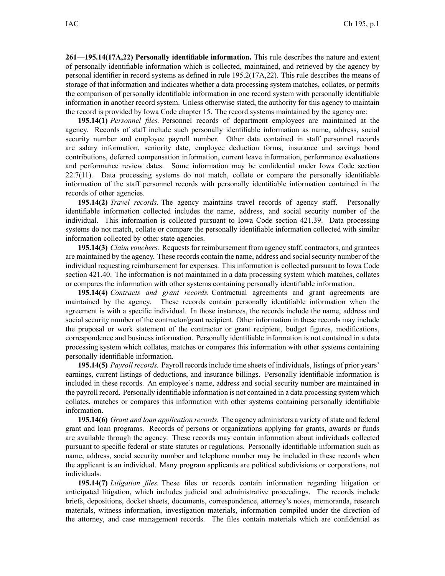**261—195.14(17A,22) Personally identifiable information.** This rule describes the nature and extent of personally identifiable information which is collected, maintained, and retrieved by the agency by personal identifier in record systems as defined in rule 195.2(17A,22). This rule describes the means of storage of that information and indicates whether <sup>a</sup> data processing system matches, collates, or permits the comparison of personally identifiable information in one record system with personally identifiable information in another record system. Unless otherwise stated, the authority for this agency to maintain the record is provided by Iowa Code chapter 15. The record systems maintained by the agency are:

**195.14(1)** *Personnel files.* Personnel records of department employees are maintained at the agency. Records of staff include such personally identifiable information as name, address, social security number and employee payroll number. Other data contained in staff personnel records are salary information, seniority date, employee deduction forms, insurance and savings bond contributions, deferred compensation information, current leave information, performance evaluations and performance review dates. Some information may be confidential under Iowa Code section 22.7(11). Data processing systems do not match, collate or compare the personally identifiable information of the staff personnel records with personally identifiable information contained in the records of other agencies.

**195.14(2)** *Travel records.* The agency maintains travel records of agency staff. Personally identifiable information collected includes the name, address, and social security number of the individual. This information is collected pursuan<sup>t</sup> to Iowa Code section 421.39. Data processing systems do not match, collate or compare the personally identifiable information collected with similar information collected by other state agencies.

**195.14(3)** *Claim vouchers.* Requestsfor reimbursement from agency staff, contractors, and grantees are maintained by the agency. These records contain the name, address and social security number of the individual requesting reimbursement for expenses. This information is collected pursuan<sup>t</sup> to Iowa Code section 421.40. The information is not maintained in <sup>a</sup> data processing system which matches, collates or compares the information with other systems containing personally identifiable information.

**195.14(4)** *Contracts and gran<sup>t</sup> records.* Contractual agreements and gran<sup>t</sup> agreements are maintained by the agency. These records contain personally identifiable information when the agreemen<sup>t</sup> is with <sup>a</sup> specific individual. In those instances, the records include the name, address and social security number of the contractor/grant recipient. Other information in these records may include the proposal or work statement of the contractor or gran<sup>t</sup> recipient, budget figures, modifications, correspondence and business information. Personally identifiable information is not contained in <sup>a</sup> data processing system which collates, matches or compares this information with other systems containing personally identifiable information.

**195.14(5)** *Payroll records.* Payroll records include time sheets of individuals, listings of prior years' earnings, current listings of deductions, and insurance billings. Personally identifiable information is included in these records. An employee's name, address and social security number are maintained in the payroll record. Personally identifiable information is not contained in <sup>a</sup> data processing system which collates, matches or compares this information with other systems containing personally identifiable information.

**195.14(6)** *Grant and loan application records.* The agency administers <sup>a</sup> variety of state and federal gran<sup>t</sup> and loan programs. Records of persons or organizations applying for grants, awards or funds are available through the agency. These records may contain information about individuals collected pursuan<sup>t</sup> to specific federal or state statutes or regulations. Personally identifiable information such as name, address, social security number and telephone number may be included in these records when the applicant is an individual. Many program applicants are political subdivisions or corporations, not individuals.

**195.14(7)** *Litigation files.* These files or records contain information regarding litigation or anticipated litigation, which includes judicial and administrative proceedings. The records include briefs, depositions, docket sheets, documents, correspondence, attorney's notes, memoranda, research materials, witness information, investigation materials, information compiled under the direction of the attorney, and case managemen<sup>t</sup> records. The files contain materials which are confidential as